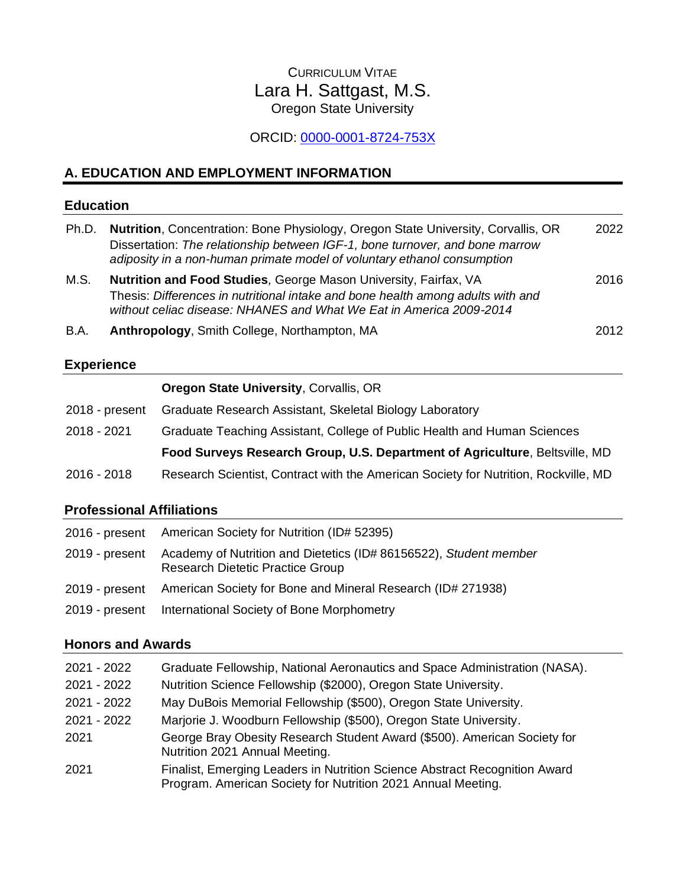# CURRICULUM VITAE Lara H. Sattgast, M.S. Oregon State University

# ORCID: [0000-0001-8724-753X](https://orcid.org/0000-0001-8724-753X)

## **A. EDUCATION AND EMPLOYMENT INFORMATION**

#### **Education**

| Ph.D. | <b>Nutrition, Concentration: Bone Physiology, Oregon State University, Corvallis, OR</b><br>Dissertation: The relationship between IGF-1, bone turnover, and bone marrow<br>adiposity in a non-human primate model of voluntary ethanol consumption | 2022 |
|-------|-----------------------------------------------------------------------------------------------------------------------------------------------------------------------------------------------------------------------------------------------------|------|
| M.S.  | Nutrition and Food Studies, George Mason University, Fairfax, VA<br>Thesis: Differences in nutritional intake and bone health among adults with and<br>without celiac disease: NHANES and What We Eat in America 2009-2014                          | 2016 |
| B.A.  | Anthropology, Smith College, Northampton, MA                                                                                                                                                                                                        | 2012 |

## **Experience**

| Oregon State University, Corvallis, OR |  |  |  |  |  |
|----------------------------------------|--|--|--|--|--|
|----------------------------------------|--|--|--|--|--|

| 2018 - present | Graduate Research Assistant, Skeletal Biology Laboratory                            |  |  |
|----------------|-------------------------------------------------------------------------------------|--|--|
| 2018 - 2021    | Graduate Teaching Assistant, College of Public Health and Human Sciences            |  |  |
|                | Food Surveys Research Group, U.S. Department of Agriculture, Beltsville, MD         |  |  |
| 2016 - 2018    | Research Scientist, Contract with the American Society for Nutrition, Rockville, MD |  |  |

## **Professional Affiliations**

| 2016 - present American Society for Nutrition (ID# 52395)                                                                   |
|-----------------------------------------------------------------------------------------------------------------------------|
| 2019 - present Academy of Nutrition and Dietetics (ID# 86156522), Student member<br><b>Research Dietetic Practice Group</b> |
| 2019 - present American Society for Bone and Mineral Research (ID# 271938)                                                  |
| 2019 - present International Society of Bone Morphometry                                                                    |

# **Honors and Awards**

| 2021 - 2022 | Graduate Fellowship, National Aeronautics and Space Administration (NASA).                                                                 |
|-------------|--------------------------------------------------------------------------------------------------------------------------------------------|
| 2021 - 2022 | Nutrition Science Fellowship (\$2000), Oregon State University.                                                                            |
| 2021 - 2022 | May DuBois Memorial Fellowship (\$500), Oregon State University.                                                                           |
| 2021 - 2022 | Marjorie J. Woodburn Fellowship (\$500), Oregon State University.                                                                          |
| 2021        | George Bray Obesity Research Student Award (\$500). American Society for<br>Nutrition 2021 Annual Meeting.                                 |
| 2021        | Finalist, Emerging Leaders in Nutrition Science Abstract Recognition Award<br>Program. American Society for Nutrition 2021 Annual Meeting. |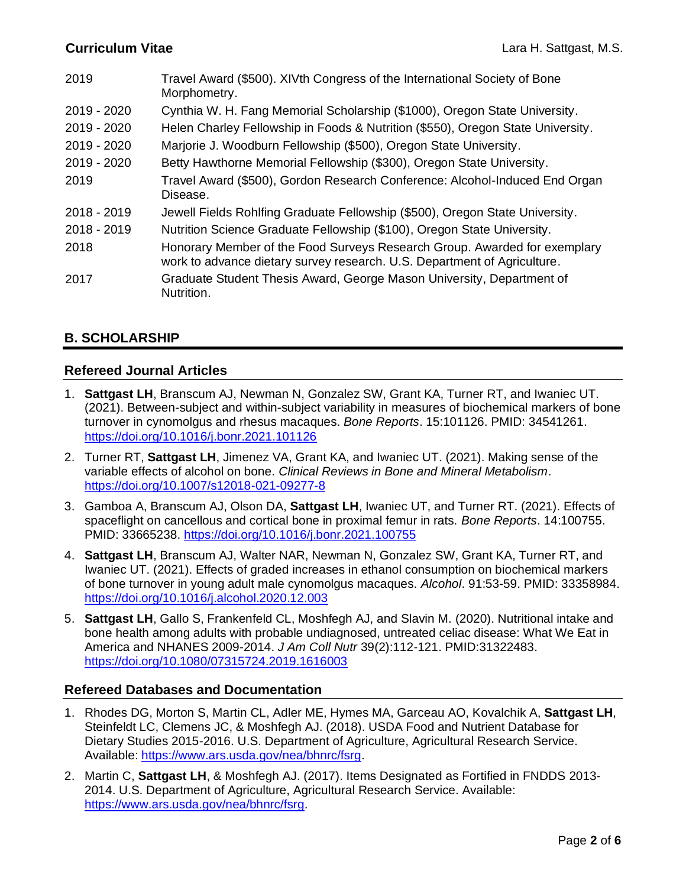| 2019          | Travel Award (\$500). XIVth Congress of the International Society of Bone<br>Morphometry.                                                             |
|---------------|-------------------------------------------------------------------------------------------------------------------------------------------------------|
| 2019 - 2020   | Cynthia W. H. Fang Memorial Scholarship (\$1000), Oregon State University.                                                                            |
| 2019 - 2020   | Helen Charley Fellowship in Foods & Nutrition (\$550), Oregon State University.                                                                       |
| 2019 - 2020   | Marjorie J. Woodburn Fellowship (\$500), Oregon State University.                                                                                     |
| $2019 - 2020$ | Betty Hawthorne Memorial Fellowship (\$300), Oregon State University.                                                                                 |
| 2019          | Travel Award (\$500), Gordon Research Conference: Alcohol-Induced End Organ<br>Disease.                                                               |
| 2018 - 2019   | Jewell Fields Rohlfing Graduate Fellowship (\$500), Oregon State University.                                                                          |
| 2018 - 2019   | Nutrition Science Graduate Fellowship (\$100), Oregon State University.                                                                               |
| 2018          | Honorary Member of the Food Surveys Research Group. Awarded for exemplary<br>work to advance dietary survey research. U.S. Department of Agriculture. |
| 2017          | Graduate Student Thesis Award, George Mason University, Department of<br>Nutrition.                                                                   |

## **B. SCHOLARSHIP**

### **Refereed Journal Articles**

- 1. **Sattgast LH**, Branscum AJ, Newman N, Gonzalez SW, Grant KA, Turner RT, and Iwaniec UT. (2021). Between-subject and within-subject variability in measures of biochemical markers of bone turnover in cynomolgus and rhesus macaques. *Bone Reports*. 15:101126. PMID: 34541261. <https://doi.org/10.1016/j.bonr.2021.101126>
- 2. Turner RT, **Sattgast LH**, Jimenez VA, Grant KA, and Iwaniec UT. (2021). Making sense of the variable effects of alcohol on bone. *Clinical Reviews in Bone and Mineral Metabolism*. <https://doi.org/10.1007/s12018-021-09277-8>
- 3. Gamboa A, Branscum AJ, Olson DA, **Sattgast LH**, Iwaniec UT, and Turner RT. (2021). Effects of spaceflight on cancellous and cortical bone in proximal femur in rats. *Bone Reports*. 14:100755. PMID: 33665238.<https://doi.org/10.1016/j.bonr.2021.100755>
- 4. **Sattgast LH**, Branscum AJ, Walter NAR, Newman N, Gonzalez SW, Grant KA, Turner RT, and Iwaniec UT. (2021). Effects of graded increases in ethanol consumption on biochemical markers of bone turnover in young adult male cynomolgus macaques. *Alcohol*. 91:53-59. PMID: 33358984. <https://doi.org/10.1016/j.alcohol.2020.12.003>
- 5. **Sattgast LH**, Gallo S, Frankenfeld CL, Moshfegh AJ, and Slavin M. (2020). Nutritional intake and bone health among adults with probable undiagnosed, untreated celiac disease: What We Eat in America and NHANES 2009-2014. *J Am Coll Nutr* 39(2):112-121. PMID:31322483. <https://doi.org/10.1080/07315724.2019.1616003>

### **Refereed Databases and Documentation**

- 1. Rhodes DG, Morton S, Martin CL, Adler ME, Hymes MA, Garceau AO, Kovalchik A, **Sattgast LH**, Steinfeldt LC, Clemens JC, & Moshfegh AJ. (2018). USDA Food and Nutrient Database for Dietary Studies 2015-2016. U.S. Department of Agriculture, Agricultural Research Service. Available: [https://www.ars.usda.gov/nea/bhnrc/fsrg.](https://www.ars.usda.gov/nea/bhnrc/fsrg)
- 2. Martin C, **Sattgast LH**, & Moshfegh AJ. (2017). Items Designated as Fortified in FNDDS 2013- 2014. U.S. Department of Agriculture, Agricultural Research Service. Available: [https://www.ars.usda.gov/nea/bhnrc/fsrg.](https://www.ars.usda.gov/nea/bhnrc/fsrg)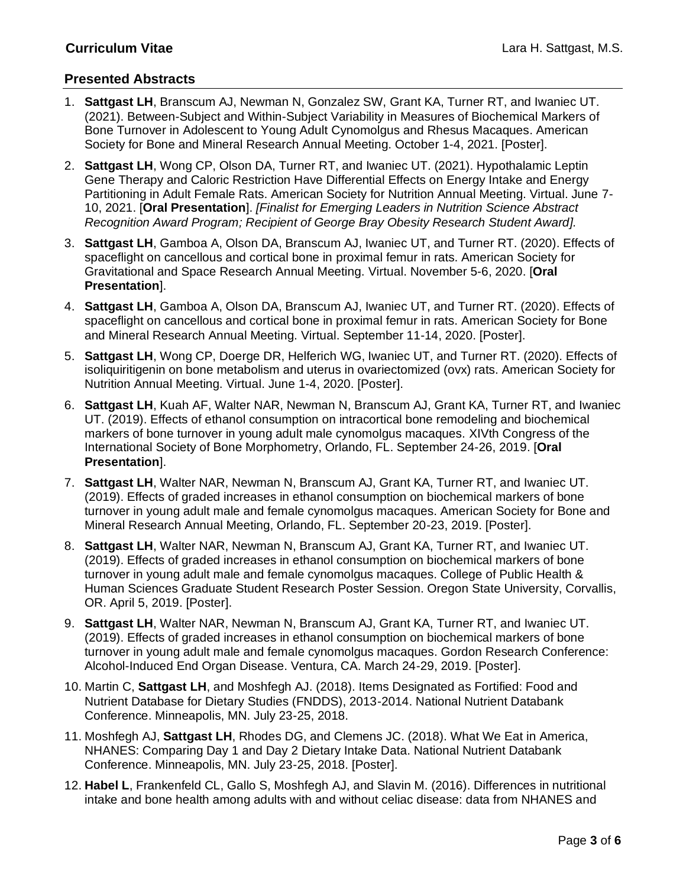### **Presented Abstracts**

- 1. **Sattgast LH**, Branscum AJ, Newman N, Gonzalez SW, Grant KA, Turner RT, and Iwaniec UT. (2021). Between-Subject and Within-Subject Variability in Measures of Biochemical Markers of Bone Turnover in Adolescent to Young Adult Cynomolgus and Rhesus Macaques. American Society for Bone and Mineral Research Annual Meeting. October 1-4, 2021. [Poster].
- 2. **Sattgast LH**, Wong CP, Olson DA, Turner RT, and Iwaniec UT. (2021). Hypothalamic Leptin Gene Therapy and Caloric Restriction Have Differential Effects on Energy Intake and Energy Partitioning in Adult Female Rats. American Society for Nutrition Annual Meeting. Virtual. June 7- 10, 2021. [**Oral Presentation**]. *[Finalist for Emerging Leaders in Nutrition Science Abstract Recognition Award Program; Recipient of George Bray Obesity Research Student Award].*
- 3. **Sattgast LH**, Gamboa A, Olson DA, Branscum AJ, Iwaniec UT, and Turner RT. (2020). Effects of spaceflight on cancellous and cortical bone in proximal femur in rats. American Society for Gravitational and Space Research Annual Meeting. Virtual. November 5-6, 2020. [**Oral Presentation**].
- 4. **Sattgast LH**, Gamboa A, Olson DA, Branscum AJ, Iwaniec UT, and Turner RT. (2020). Effects of spaceflight on cancellous and cortical bone in proximal femur in rats. American Society for Bone and Mineral Research Annual Meeting. Virtual. September 11-14, 2020. [Poster].
- 5. **Sattgast LH**, Wong CP, Doerge DR, Helferich WG, Iwaniec UT, and Turner RT. (2020). Effects of isoliquiritigenin on bone metabolism and uterus in ovariectomized (ovx) rats. American Society for Nutrition Annual Meeting. Virtual. June 1-4, 2020. [Poster].
- 6. **Sattgast LH**, Kuah AF, Walter NAR, Newman N, Branscum AJ, Grant KA, Turner RT, and Iwaniec UT. (2019). Effects of ethanol consumption on intracortical bone remodeling and biochemical markers of bone turnover in young adult male cynomolgus macaques. XIVth Congress of the International Society of Bone Morphometry, Orlando, FL. September 24-26, 2019. [**Oral Presentation**].
- 7. **Sattgast LH**, Walter NAR, Newman N, Branscum AJ, Grant KA, Turner RT, and Iwaniec UT. (2019). Effects of graded increases in ethanol consumption on biochemical markers of bone turnover in young adult male and female cynomolgus macaques. American Society for Bone and Mineral Research Annual Meeting, Orlando, FL. September 20-23, 2019. [Poster].
- 8. **Sattgast LH**, Walter NAR, Newman N, Branscum AJ, Grant KA, Turner RT, and Iwaniec UT. (2019). Effects of graded increases in ethanol consumption on biochemical markers of bone turnover in young adult male and female cynomolgus macaques. College of Public Health & Human Sciences Graduate Student Research Poster Session. Oregon State University, Corvallis, OR. April 5, 2019. [Poster].
- 9. **Sattgast LH**, Walter NAR, Newman N, Branscum AJ, Grant KA, Turner RT, and Iwaniec UT. (2019). Effects of graded increases in ethanol consumption on biochemical markers of bone turnover in young adult male and female cynomolgus macaques. Gordon Research Conference: Alcohol-Induced End Organ Disease. Ventura, CA. March 24-29, 2019. [Poster].
- 10. Martin C, **Sattgast LH**, and Moshfegh AJ. (2018). Items Designated as Fortified: Food and Nutrient Database for Dietary Studies (FNDDS), 2013-2014. National Nutrient Databank Conference. Minneapolis, MN. July 23-25, 2018.
- 11. Moshfegh AJ, **Sattgast LH**, Rhodes DG, and Clemens JC. (2018). What We Eat in America, NHANES: Comparing Day 1 and Day 2 Dietary Intake Data. National Nutrient Databank Conference. Minneapolis, MN. July 23-25, 2018. [Poster].
- 12. **Habel L**, Frankenfeld CL, Gallo S, Moshfegh AJ, and Slavin M. (2016). Differences in nutritional intake and bone health among adults with and without celiac disease: data from NHANES and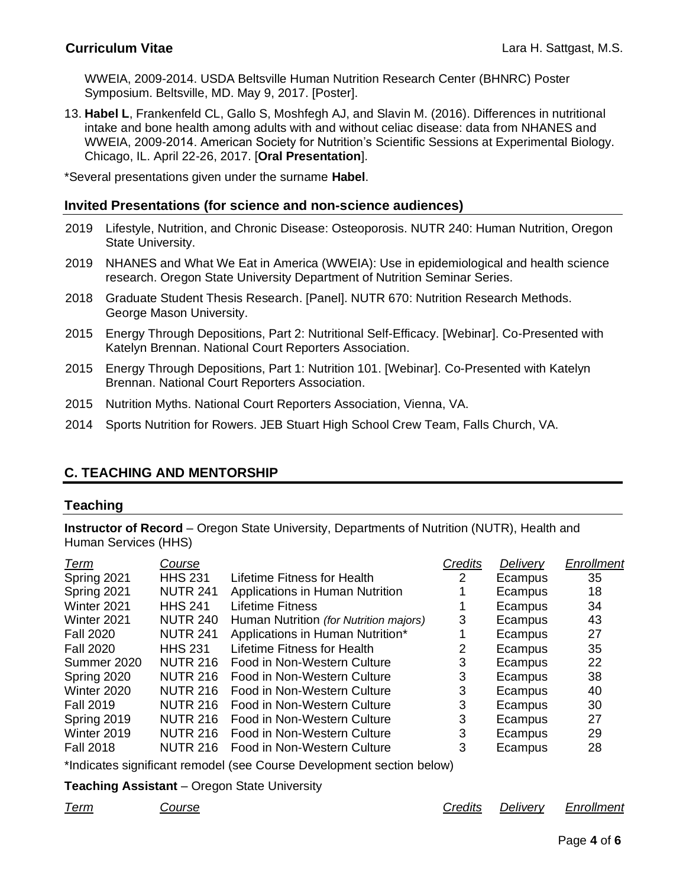WWEIA, 2009-2014. USDA Beltsville Human Nutrition Research Center (BHNRC) Poster Symposium. Beltsville, MD. May 9, 2017. [Poster].

13. **Habel L**, Frankenfeld CL, Gallo S, Moshfegh AJ, and Slavin M. (2016). Differences in nutritional intake and bone health among adults with and without celiac disease: data from NHANES and WWEIA, 2009-2014. American Society for Nutrition's Scientific Sessions at Experimental Biology. Chicago, IL. April 22-26, 2017. [**Oral Presentation**].

\*Several presentations given under the surname **Habel**.

#### **Invited Presentations (for science and non-science audiences)**

- 2019 Lifestyle, Nutrition, and Chronic Disease: Osteoporosis. NUTR 240: Human Nutrition, Oregon State University.
- 2019 NHANES and What We Eat in America (WWEIA): Use in epidemiological and health science research. Oregon State University Department of Nutrition Seminar Series.
- 2018 Graduate Student Thesis Research. [Panel]. NUTR 670: Nutrition Research Methods. George Mason University.
- 2015 Energy Through Depositions, Part 2: Nutritional Self-Efficacy. [Webinar]. Co-Presented with Katelyn Brennan. National Court Reporters Association.
- 2015 Energy Through Depositions, Part 1: Nutrition 101. [Webinar]. Co-Presented with Katelyn Brennan. National Court Reporters Association.
- 2015 Nutrition Myths. National Court Reporters Association, Vienna, VA.
- 2014 Sports Nutrition for Rowers. JEB Stuart High School Crew Team, Falls Church, VA.

### **C. TEACHING AND MENTORSHIP**

#### **Teaching**

**Instructor of Record** – Oregon State University, Departments of Nutrition (NUTR), Health and Human Services (HHS)

| Term             | Course          |                                        | Credits | Delivery | Enrollment |
|------------------|-----------------|----------------------------------------|---------|----------|------------|
| Spring 2021      | <b>HHS 231</b>  | Lifetime Fitness for Health            | 2       | Ecampus  | 35         |
| Spring 2021      | <b>NUTR 241</b> | Applications in Human Nutrition        |         | Ecampus  | 18         |
| Winter 2021      | <b>HHS 241</b>  | Lifetime Fitness                       |         | Ecampus  | 34         |
| Winter 2021      | <b>NUTR 240</b> | Human Nutrition (for Nutrition majors) | 3       | Ecampus  | 43         |
| <b>Fall 2020</b> | <b>NUTR 241</b> | Applications in Human Nutrition*       |         | Ecampus  | 27         |
| <b>Fall 2020</b> | <b>HHS 231</b>  | Lifetime Fitness for Health            |         | Ecampus  | 35         |
| Summer 2020      | <b>NUTR 216</b> | Food in Non-Western Culture            | 3       | Ecampus  | 22         |
| Spring 2020      | <b>NUTR 216</b> | Food in Non-Western Culture            | 3       | Ecampus  | 38         |
| Winter 2020      | <b>NUTR 216</b> | Food in Non-Western Culture            | 3       | Ecampus  | 40         |
| <b>Fall 2019</b> | <b>NUTR 216</b> | Food in Non-Western Culture            | 3       | Ecampus  | 30         |
| Spring 2019      | <b>NUTR 216</b> | Food in Non-Western Culture            | 3       | Ecampus  | 27         |
| Winter 2019      | <b>NUTR 216</b> | Food in Non-Western Culture            | 3       | Ecampus  | 29         |
| <b>Fall 2018</b> | <b>NUTR 216</b> | Food in Non-Western Culture            | 3       | Ecampus  | 28         |
|                  |                 |                                        |         |          |            |

\*Indicates significant remodel (see Course Development section below)

**Teaching Assistant** – Oregon State University

*Term Course Credits Delivery Enrollment*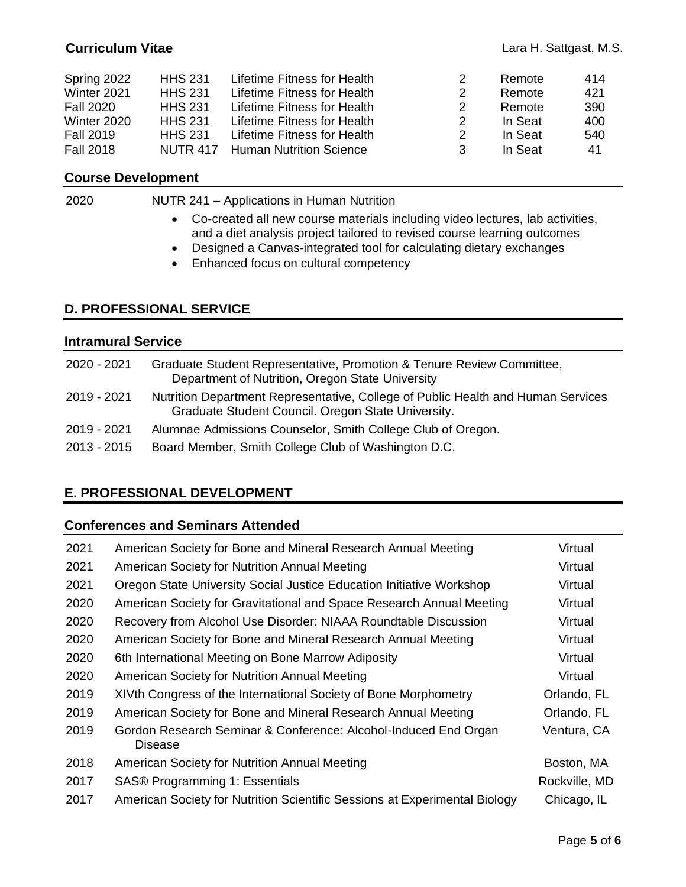| Spring 2022      | <b>HHS 231</b>  | Lifetime Fitness for Health    | 2 | Remote  | 414 |
|------------------|-----------------|--------------------------------|---|---------|-----|
| Winter 2021      | <b>HHS 231</b>  | Lifetime Fitness for Health    | 2 | Remote  | 421 |
| <b>Fall 2020</b> | <b>HHS 231</b>  | Lifetime Fitness for Health    | 2 | Remote  | 390 |
| Winter 2020      | <b>HHS 231</b>  | Lifetime Fitness for Health    | 2 | In Seat | 400 |
| <b>Fall 2019</b> | <b>HHS 231</b>  | Lifetime Fitness for Health    | 2 | In Seat | 540 |
| <b>Fall 2018</b> | <b>NUTR 417</b> | <b>Human Nutrition Science</b> | 3 | In Seat | 41  |

## **Course Development**

| 2020 | NUTR 241 - Applications in Human Nutrition                                                                                                                  |
|------|-------------------------------------------------------------------------------------------------------------------------------------------------------------|
|      | • Co-created all new course materials including video lectures, lab activities,<br>and a diet analysis project tailored to revised course learning outcomes |
|      | Designed a Canvas-integrated tool for calculating dietary exchanges                                                                                         |

• Enhanced focus on cultural competency

### **D. PROFESSIONAL SERVICE**

### **Intramural Service**

| 2020 - 2021 | Graduate Student Representative, Promotion & Tenure Review Committee,<br>Department of Nutrition, Oregon State University              |
|-------------|----------------------------------------------------------------------------------------------------------------------------------------|
| 2019 - 2021 | Nutrition Department Representative, College of Public Health and Human Services<br>Graduate Student Council. Oregon State University. |
| 2019 - 2021 | Alumnae Admissions Counselor, Smith College Club of Oregon.                                                                            |
| 2013 - 2015 | Board Member, Smith College Club of Washington D.C.                                                                                    |

## **E. PROFESSIONAL DEVELOPMENT**

## **Conferences and Seminars Attended**

| 2021 | American Society for Bone and Mineral Research Annual Meeting              | Virtual       |
|------|----------------------------------------------------------------------------|---------------|
| 2021 | American Society for Nutrition Annual Meeting                              | Virtual       |
| 2021 | Oregon State University Social Justice Education Initiative Workshop       | Virtual       |
| 2020 | American Society for Gravitational and Space Research Annual Meeting       | Virtual       |
| 2020 | Recovery from Alcohol Use Disorder: NIAAA Roundtable Discussion            | Virtual       |
| 2020 | American Society for Bone and Mineral Research Annual Meeting              | Virtual       |
| 2020 | 6th International Meeting on Bone Marrow Adiposity                         | Virtual       |
| 2020 | American Society for Nutrition Annual Meeting                              | Virtual       |
| 2019 | XIVth Congress of the International Society of Bone Morphometry            | Orlando, FL   |
| 2019 | American Society for Bone and Mineral Research Annual Meeting              | Orlando, FL   |
| 2019 | Gordon Research Seminar & Conference: Alcohol-Induced End Organ<br>Disease | Ventura, CA   |
| 2018 | American Society for Nutrition Annual Meeting                              | Boston, MA    |
| 2017 | SAS® Programming 1: Essentials                                             | Rockville, MD |
| 2017 | American Society for Nutrition Scientific Sessions at Experimental Biology | Chicago, IL   |
|      |                                                                            |               |